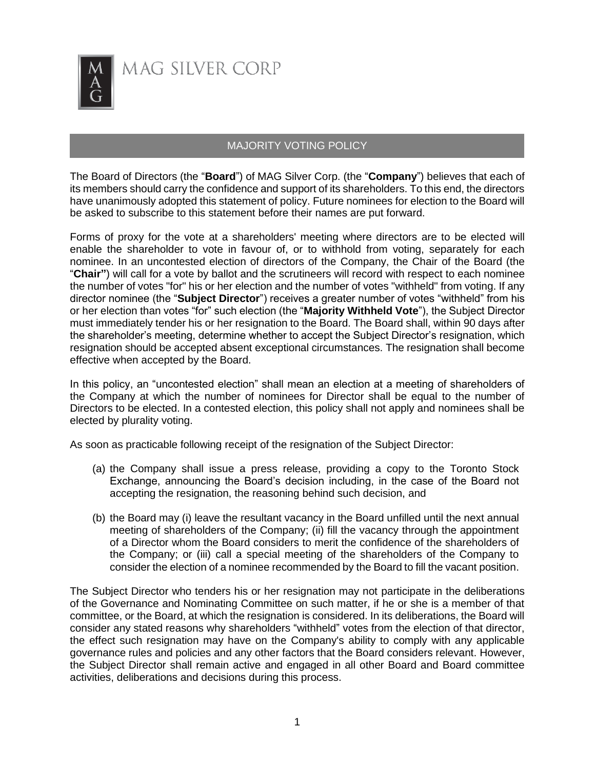

## MAJORITY VOTING POLICY

The Board of Directors (the "**Board**") of MAG Silver Corp. (the "**Company**") believes that each of its members should carry the confidence and support of its shareholders. To this end, the directors have unanimously adopted this statement of policy. Future nominees for election to the Board will be asked to subscribe to this statement before their names are put forward.

Forms of proxy for the vote at a shareholders' meeting where directors are to be elected will enable the shareholder to vote in favour of, or to withhold from voting, separately for each nominee. In an uncontested election of directors of the Company, the Chair of the Board (the "**Chair"**) will call for a vote by ballot and the scrutineers will record with respect to each nominee the number of votes "for" his or her election and the number of votes "withheld" from voting. If any director nominee (the "**Subject Director**") receives a greater number of votes "withheld" from his or her election than votes "for" such election (the "**Majority Withheld Vote**"), the Subject Director must immediately tender his or her resignation to the Board. The Board shall, within 90 days after the shareholder's meeting, determine whether to accept the Subject Director's resignation, which resignation should be accepted absent exceptional circumstances. The resignation shall become effective when accepted by the Board.

In this policy, an "uncontested election" shall mean an election at a meeting of shareholders of the Company at which the number of nominees for Director shall be equal to the number of Directors to be elected. In a contested election, this policy shall not apply and nominees shall be elected by plurality voting.

As soon as practicable following receipt of the resignation of the Subject Director:

- (a) the Company shall issue a press release, providing a copy to the Toronto Stock Exchange, announcing the Board's decision including, in the case of the Board not accepting the resignation, the reasoning behind such decision, and
- (b) the Board may (i) leave the resultant vacancy in the Board unfilled until the next annual meeting of shareholders of the Company; (ii) fill the vacancy through the appointment of a Director whom the Board considers to merit the confidence of the shareholders of the Company; or (iii) call a special meeting of the shareholders of the Company to consider the election of a nominee recommended by the Board to fill the vacant position.

The Subject Director who tenders his or her resignation may not participate in the deliberations of the Governance and Nominating Committee on such matter, if he or she is a member of that committee, or the Board, at which the resignation is considered. In its deliberations, the Board will consider any stated reasons why shareholders "withheld" votes from the election of that director, the effect such resignation may have on the Company's ability to comply with any applicable governance rules and policies and any other factors that the Board considers relevant. However, the Subject Director shall remain active and engaged in all other Board and Board committee activities, deliberations and decisions during this process.